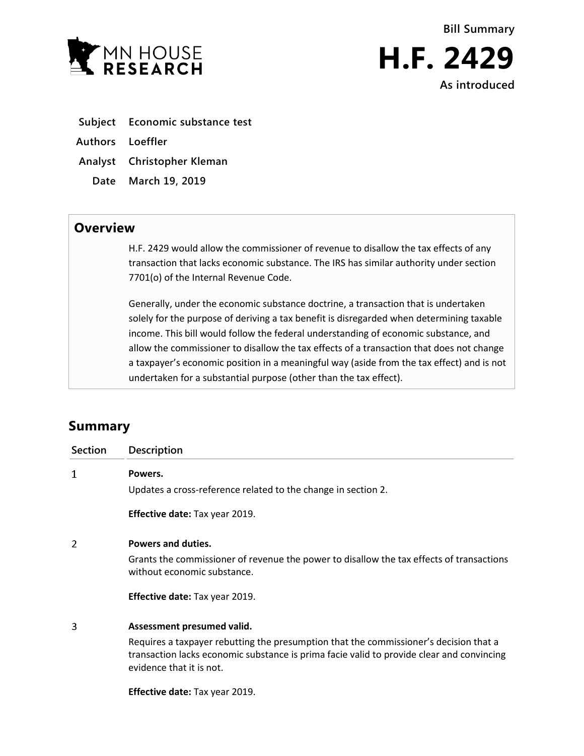

- **Subject Economic substance test**
- **Authors Loeffler**
- **Analyst Christopher Kleman**
- **Date March 19, 2019**

## **Overview**

H.F. 2429 would allow the commissioner of revenue to disallow the tax effects of any transaction that lacks economic substance. The IRS has similar authority under section 7701(o) of the Internal Revenue Code.

Generally, under the economic substance doctrine, a transaction that is undertaken solely for the purpose of deriving a tax benefit is disregarded when determining taxable income. This bill would follow the federal understanding of economic substance, and allow the commissioner to disallow the tax effects of a transaction that does not change a taxpayer's economic position in a meaningful way (aside from the tax effect) and is not undertaken for a substantial purpose (other than the tax effect).

# **Summary**

| <b>Section</b> | Description                                                                                                                                                                                                    |
|----------------|----------------------------------------------------------------------------------------------------------------------------------------------------------------------------------------------------------------|
| 1              | Powers.                                                                                                                                                                                                        |
|                | Updates a cross-reference related to the change in section 2.                                                                                                                                                  |
|                | <b>Effective date: Tax year 2019.</b>                                                                                                                                                                          |
| 2              | Powers and duties.                                                                                                                                                                                             |
|                | Grants the commissioner of revenue the power to disallow the tax effects of transactions<br>without economic substance.                                                                                        |
|                | <b>Effective date: Tax year 2019.</b>                                                                                                                                                                          |
| 3              | Assessment presumed valid.                                                                                                                                                                                     |
|                | Requires a taxpayer rebutting the presumption that the commissioner's decision that a<br>transaction lacks economic substance is prima facie valid to provide clear and convincing<br>evidence that it is not. |
|                | <b>Effective date:</b> Tax year 2019.                                                                                                                                                                          |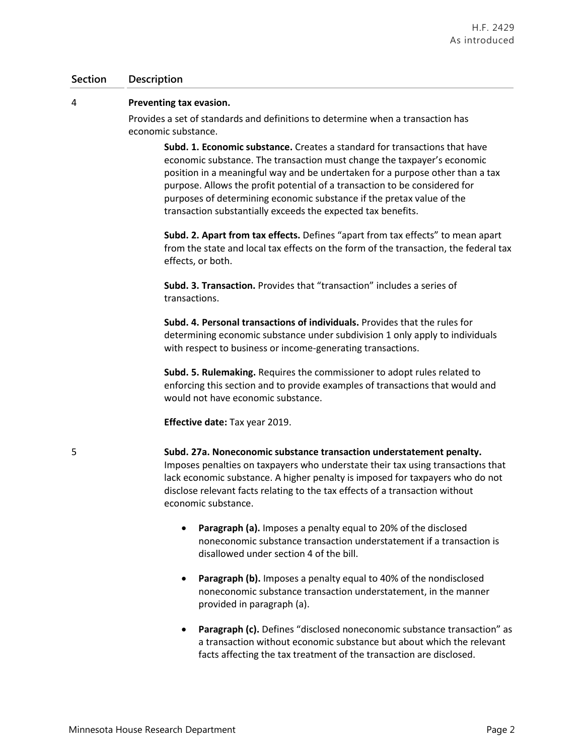#### **Section Description**

#### 4 **Preventing tax evasion.**

Provides a set of standards and definitions to determine when a transaction has economic substance.

> **Subd. 1. Economic substance.** Creates a standard for transactions that have economic substance. The transaction must change the taxpayer's economic position in a meaningful way and be undertaken for a purpose other than a tax purpose. Allows the profit potential of a transaction to be considered for purposes of determining economic substance if the pretax value of the transaction substantially exceeds the expected tax benefits.

**Subd. 2. Apart from tax effects.** Defines "apart from tax effects" to mean apart from the state and local tax effects on the form of the transaction, the federal tax effects, or both.

**Subd. 3. Transaction.** Provides that "transaction" includes a series of transactions.

**Subd. 4. Personal transactions of individuals.** Provides that the rules for determining economic substance under subdivision 1 only apply to individuals with respect to business or income-generating transactions.

**Subd. 5. Rulemaking.** Requires the commissioner to adopt rules related to enforcing this section and to provide examples of transactions that would and would not have economic substance.

**Effective date:** Tax year 2019.

5 **Subd. 27a. Noneconomic substance transaction understatement penalty.** Imposes penalties on taxpayers who understate their tax using transactions that lack economic substance. A higher penalty is imposed for taxpayers who do not disclose relevant facts relating to the tax effects of a transaction without economic substance.

- **Paragraph (a).** Imposes a penalty equal to 20% of the disclosed noneconomic substance transaction understatement if a transaction is disallowed under section 4 of the bill.
- **Paragraph (b).** Imposes a penalty equal to 40% of the nondisclosed noneconomic substance transaction understatement, in the manner provided in paragraph (a).
- **Paragraph (c).** Defines "disclosed noneconomic substance transaction" as a transaction without economic substance but about which the relevant facts affecting the tax treatment of the transaction are disclosed.